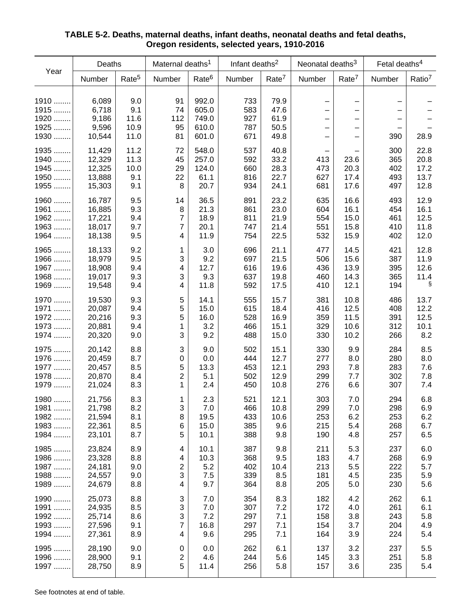| Year                                 | Deaths                                         |                                    | Maternal deaths <sup>1</sup> |                                           | Infant deaths <sup>2</sup>      |                                      | Neonatal deaths <sup>3</sup> |                              | Fetal deaths <sup>4</sup>       |                                      |
|--------------------------------------|------------------------------------------------|------------------------------------|------------------------------|-------------------------------------------|---------------------------------|--------------------------------------|------------------------------|------------------------------|---------------------------------|--------------------------------------|
|                                      | Number                                         | Rate <sup>5</sup>                  | Number                       | Rate <sup>6</sup>                         | Number                          | Rate <sup>7</sup>                    | Number                       | Rate <sup>7</sup>            | Number                          | Ratio <sup>7</sup>                   |
| 1910<br>1915<br>1920<br>1925<br>1930 | 6,089<br>6,718<br>9,186<br>9,596<br>10,544     | 9.0<br>9.1<br>11.6<br>10.9<br>11.0 | 91<br>74<br>112<br>95<br>81  | 992.0<br>605.0<br>749.0<br>610.0<br>601.0 | 733<br>583<br>927<br>787<br>671 | 79.9<br>47.6<br>61.9<br>50.5<br>49.8 | —<br>—                       | $\qquad \qquad -$            | 390                             | 28.9                                 |
| 1935<br>1940<br>1945<br>1950<br>1955 | 11,429<br>12,329<br>12,325<br>13,888<br>15,303 | 11.2<br>11.3<br>10.0<br>9.1<br>9.1 | 72<br>45<br>29<br>22<br>8    | 548.0<br>257.0<br>124.0<br>61.1<br>20.7   | 537<br>592<br>660<br>816<br>934 | 40.8<br>33.2<br>28.3<br>22.7<br>24.1 | 413<br>473<br>627<br>681     | 23.6<br>20.3<br>17.4<br>17.6 | 300<br>365<br>402<br>493<br>497 | 22.8<br>20.8<br>17.2<br>13.7<br>12.8 |
| 1960                                 | 16,787                                         | 9.5                                | 14                           | 36.5                                      | 891                             | 23.2                                 | 635                          | 16.6                         | 493                             | 12.9                                 |
| 1961                                 | 16,885                                         | 9.3                                | 8                            | 21.3                                      | 861                             | 23.0                                 | 604                          | 16.1                         | 454                             | 16.1                                 |
| 1962                                 | 17,221                                         | 9.4                                | $\overline{7}$               | 18.9                                      | 811                             | 21.9                                 | 554                          | 15.0                         | 461                             | 12.5                                 |
| 1963                                 | 18,017                                         | 9.7                                | $\overline{7}$               | 20.1                                      | 747                             | 21.4                                 | 551                          | 15.8                         | 410                             | 11.8                                 |
| 1964                                 | 18,138                                         | 9.5                                | 4                            | 11.9                                      | 754                             | 22.5                                 | 532                          | 15.9                         | 402                             | 12.0                                 |
| 1965                                 | 18,133                                         | 9.2                                | $\mathbf{1}$                 | 3.0                                       | 696                             | 21.1                                 | 477                          | 14.5                         | 421                             | 12.8                                 |
| 1966                                 | 18,979                                         | 9.5                                | 3                            | 9.2                                       | 697                             | 21.5                                 | 506                          | 15.6                         | 387                             | 11.9                                 |
| 1967                                 | 18,908                                         | 9.4                                | $\overline{4}$               | 12.7                                      | 616                             | 19.6                                 | 436                          | 13.9                         | 395                             | 12.6                                 |
| 1968                                 | 19,017                                         | 9.3                                | 3                            | 9.3                                       | 637                             | 19.8                                 | 460                          | 14.3                         | 365                             | 11.4                                 |
| 1969                                 | 19,548                                         | 9.4                                | 4                            | 11.8                                      | 592                             | 17.5                                 | 410                          | 12.1                         | 194                             | S                                    |
| 1970                                 | 19,530                                         | 9.3                                | 5                            | 14.1                                      | 555                             | 15.7                                 | 381                          | 10.8                         | 486                             | 13.7                                 |
| 1971                                 | 20,087                                         | 9.4                                | 5                            | 15.0                                      | 615                             | 18.4                                 | 416                          | 12.5                         | 408                             | 12.2                                 |
| 1972                                 | 20,216                                         | 9.3                                | 5                            | 16.0                                      | 528                             | 16.9                                 | 359                          | 11.5                         | 391                             | 12.5                                 |
| 1973                                 | 20,881                                         | 9.4                                | 1                            | 3.2                                       | 466                             | 15.1                                 | 329                          | 10.6                         | 312                             | 10.1                                 |
| 1974                                 | 20,320                                         | 9.0                                | 3                            | 9.2                                       | 488                             | 15.0                                 | 330                          | 10.2                         | 266                             | 8.2                                  |
| 1975                                 | 20,142                                         | 8.8                                | 3                            | 9.0                                       | 502                             | 15.1                                 | 330                          | 9.9                          | 284                             | 8.5                                  |
| 1976                                 | 20,459                                         | 8.7                                | $\boldsymbol{0}$             | 0.0                                       | 444                             | 12.7                                 | 277                          | 8.0                          | 280                             | 8.0                                  |
| 1977                                 | 20,457                                         | 8.5                                | 5                            | 13.3                                      | 453                             | 12.1                                 | 293                          | 7.8                          | 283                             | 7.6                                  |
| 1978                                 | 20,870                                         | 8.4                                | $\overline{2}$               | 5.1                                       | 502                             | 12.9                                 | 299                          | 7.7                          | 302                             | 7.8                                  |
| 1979                                 | 21,024                                         | 8.3                                | 1                            | 2.4                                       | 450                             | 10.8                                 | 276                          | 6.6                          | 307                             | 7.4                                  |
| 1980                                 | 21,756                                         | 8.3                                | 1                            | 2.3                                       | 521                             | 12.1                                 | 303                          | 7.0                          | 294                             | 6.8                                  |
| 1981                                 | 21,798                                         | 8.2                                | 3                            | 7.0                                       | 466                             | 10.8                                 | 299                          | 7.0                          | 298                             | 6.9                                  |
| 1982                                 | 21,594                                         | 8.1                                | 8                            | 19.5                                      | 433                             | 10.6                                 | 253                          | 6.2                          | 253                             | 6.2                                  |
| 1983                                 | 22,361                                         | 8.5                                | 6                            | 15.0                                      | 385                             | 9.6                                  | 215                          | 5.4                          | 268                             | 6.7                                  |
| 1984                                 | 23,101                                         | 8.7                                | 5                            | 10.1                                      | 388                             | 9.8                                  | 190                          | 4.8                          | 257                             | 6.5                                  |
| 1985                                 | 23,824                                         | 8.9                                | $\overline{\mathbf{4}}$      | 10.1                                      | 387                             | 9.8                                  | 211                          | 5.3                          | 237                             | 6.0                                  |
| 1986                                 | 23,328                                         | 8.8                                | 4                            | 10.3                                      | 368                             | 9.5                                  | 183                          | 4.7                          | 268                             | 6.9                                  |
| 1987                                 | 24,181                                         | 9.0                                | $\overline{2}$               | 5.2                                       | 402                             | 10.4                                 | 213                          | 5.5                          | 222                             | 5.7                                  |
| 1988                                 | 24,557                                         | 9.0                                | 3                            | 7.5                                       | 339                             | 8.5                                  | 181                          | 4.5                          | 235                             | 5.9                                  |
| 1989                                 | 24,679                                         | 8.8                                | 4                            | 9.7                                       | 364                             | 8.8                                  | 205                          | 5.0                          | 230                             | 5.6                                  |
| 1990                                 | 25,073                                         | 8.8                                | $\ensuremath{\mathsf{3}}$    | 7.0                                       | 354                             | 8.3                                  | 182                          | 4.2                          | 262                             | 6.1                                  |
| 1991                                 | 24,935                                         | 8.5                                | 3                            | 7.0                                       | 307                             | 7.2                                  | 172                          | 4.0                          | 261                             | 6.1                                  |
| 1992                                 | 25,714                                         | 8.6                                | 3                            | 7.2                                       | 297                             | 7.1                                  | 158                          | 3.8                          | 243                             | 5.8                                  |
| 1993                                 | 27,596                                         | 9.1                                | 7                            | 16.8                                      | 297                             | 7.1                                  | 154                          | 3.7                          | 204                             | 4.9                                  |
| 1994                                 | 27,361                                         | 8.9                                | 4                            | 9.6                                       | 295                             | 7.1                                  | 164                          | 3.9                          | 224                             | 5.4                                  |
| 1995                                 | 28,190                                         | 9.0                                | $\pmb{0}$                    | 0.0                                       | 262                             | 6.1                                  | 137                          | 3.2                          | 237                             | 5.5                                  |
| 1996                                 | 28,900                                         | 9.1                                | 2                            | 4.6                                       | 244                             | 5.6                                  | 145                          | 3.3                          | 251                             | 5.8                                  |
| 1997                                 | 28,750                                         | 8.9                                | 5                            | 11.4                                      | 256                             | 5.8                                  | 157                          | 3.6                          | 235                             | 5.4                                  |

## **TABLE 5-2. Deaths, maternal deaths, infant deaths, neonatal deaths and fetal deaths, Oregon residents, selected years, 1910-2016**

See footnotes at end of table.